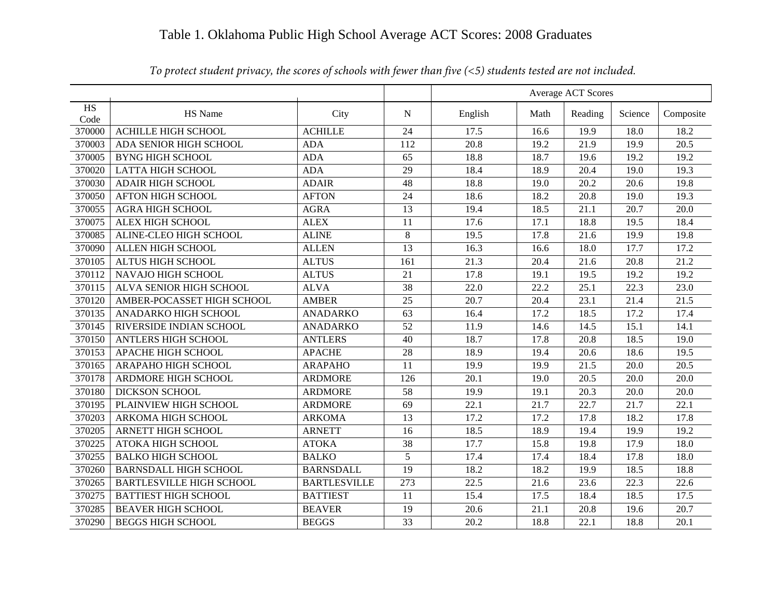## Table 1. Oklahoma Public High School Average ACT Scores: 2008 Graduates

|            |                                 |                     |                  |                   |                   | Average ACT Scores |                   |                   |
|------------|---------------------------------|---------------------|------------------|-------------------|-------------------|--------------------|-------------------|-------------------|
| HS<br>Code | HS Name                         | City                | N                | English           | Math              | Reading            | Science           | Composite         |
| 370000     | <b>ACHILLE HIGH SCHOOL</b>      | <b>ACHILLE</b>      | 24               | 17.5              | 16.6              | 19.9               | 18.0              | 18.2              |
| 370003     | ADA SENIOR HIGH SCHOOL          | <b>ADA</b>          | 112              | 20.8              | 19.2              | 21.9               | 19.9              | 20.5              |
| 370005     | <b>BYNG HIGH SCHOOL</b>         | <b>ADA</b>          | $\overline{65}$  | 18.8              | 18.7              | 19.6               | 19.2              | 19.2              |
| 370020     | <b>LATTA HIGH SCHOOL</b>        | <b>ADA</b>          | 29               | 18.4              | 18.9              | 20.4               | 19.0              | 19.3              |
| 370030     | <b>ADAIR HIGH SCHOOL</b>        | <b>ADAIR</b>        | 48               | 18.8              | 19.0              | 20.2               | 20.6              | 19.8              |
| 370050     | <b>AFTON HIGH SCHOOL</b>        | <b>AFTON</b>        | 24               | 18.6              | 18.2              | 20.8               | 19.0              | 19.3              |
| 370055     | <b>AGRA HIGH SCHOOL</b>         | <b>AGRA</b>         | 13               | 19.4              | 18.5              | 21.1               | 20.7              | 20.0              |
| 370075     | <b>ALEX HIGH SCHOOL</b>         | <b>ALEX</b>         | 11               | 17.6              | 17.1              | 18.8               | 19.5              | 18.4              |
| 370085     | ALINE-CLEO HIGH SCHOOL          | <b>ALINE</b>        | 8                | 19.5              | 17.8              | 21.6               | 19.9              | 19.8              |
| 370090     | ALLEN HIGH SCHOOL               | <b>ALLEN</b>        | 13               | 16.3              | 16.6              | 18.0               | 17.7              | 17.2              |
| 370105     | <b>ALTUS HIGH SCHOOL</b>        | <b>ALTUS</b>        | 161              | 21.3              | 20.4              | 21.6               | 20.8              | 21.2              |
| 370112     | NAVAJO HIGH SCHOOL              | <b>ALTUS</b>        | $\overline{21}$  | 17.8              | 19.1              | 19.5               | 19.2              | 19.2              |
| 370115     | ALVA SENIOR HIGH SCHOOL         | <b>ALVA</b>         | 38               | 22.0              | 22.2              | 25.1               | 22.3              | 23.0              |
| 370120     | AMBER-POCASSET HIGH SCHOOL      | <b>AMBER</b>        | $\overline{25}$  | $\overline{20.7}$ | $\overline{20.4}$ | $\overline{23.1}$  | $\overline{21.4}$ | $\overline{21.5}$ |
| 370135     | ANADARKO HIGH SCHOOL            | <b>ANADARKO</b>     | $\overline{63}$  | 16.4              | 17.2              | 18.5               | 17.2              | 17.4              |
| 370145     | RIVERSIDE INDIAN SCHOOL         | <b>ANADARKO</b>     | 52               | 11.9              | 14.6              | 14.5               | 15.1              | 14.1              |
| 370150     | <b>ANTLERS HIGH SCHOOL</b>      | <b>ANTLERS</b>      | 40               | 18.7              | 17.8              | 20.8               | 18.5              | 19.0              |
| 370153     | <b>APACHE HIGH SCHOOL</b>       | <b>APACHE</b>       | 28               | 18.9              | 19.4              | 20.6               | 18.6              | 19.5              |
| 370165     | ARAPAHO HIGH SCHOOL             | <b>ARAPAHO</b>      | 11               | 19.9              | 19.9              | 21.5               | 20.0              | 20.5              |
| 370178     | ARDMORE HIGH SCHOOL             | <b>ARDMORE</b>      | 126              | 20.1              | 19.0              | 20.5               | 20.0              | 20.0              |
| 370180     | <b>DICKSON SCHOOL</b>           | <b>ARDMORE</b>      | 58               | 19.9              | 19.1              | 20.3               | 20.0              | 20.0              |
| 370195     | PLAINVIEW HIGH SCHOOL           | <b>ARDMORE</b>      | 69               | 22.1              | 21.7              | 22.7               | 21.7              | 22.1              |
| 370203     | ARKOMA HIGH SCHOOL              | <b>ARKOMA</b>       | 13               | 17.2              | 17.2              | 17.8               | 18.2              | 17.8              |
| 370205     | <b>ARNETT HIGH SCHOOL</b>       | <b>ARNETT</b>       | 16               | 18.5              | 18.9              | 19.4               | 19.9              | 19.2              |
| 370225     | <b>ATOKA HIGH SCHOOL</b>        | <b>ATOKA</b>        | 38               | 17.7              | 15.8              | 19.8               | 17.9              | 18.0              |
| 370255     | <b>BALKO HIGH SCHOOL</b>        | <b>BALKO</b>        | 5                | 17.4              | 17.4              | 18.4               | 17.8              | 18.0              |
| 370260     | <b>BARNSDALL HIGH SCHOOL</b>    | <b>BARNSDALL</b>    | $\overline{19}$  | 18.2              | 18.2              | 19.9               | 18.5              | 18.8              |
| 370265     | <b>BARTLESVILLE HIGH SCHOOL</b> | <b>BARTLESVILLE</b> | $\overline{273}$ | $\overline{22.5}$ | 21.6              | 23.6               | $\overline{22.3}$ | $\overline{22.6}$ |
| 370275     | <b>BATTIEST HIGH SCHOOL</b>     | <b>BATTIEST</b>     | 11               | 15.4              | 17.5              | 18.4               | 18.5              | 17.5              |
| 370285     | <b>BEAVER HIGH SCHOOL</b>       | <b>BEAVER</b>       | 19               | 20.6              | 21.1              | 20.8               | 19.6              | 20.7              |
| 370290     | <b>BEGGS HIGH SCHOOL</b>        | <b>BEGGS</b>        | 33               | 20.2              | 18.8              | 22.1               | 18.8              | 20.1              |

*To protect student privacy, the scores of schools with fewer than five (<5) students tested are not included.*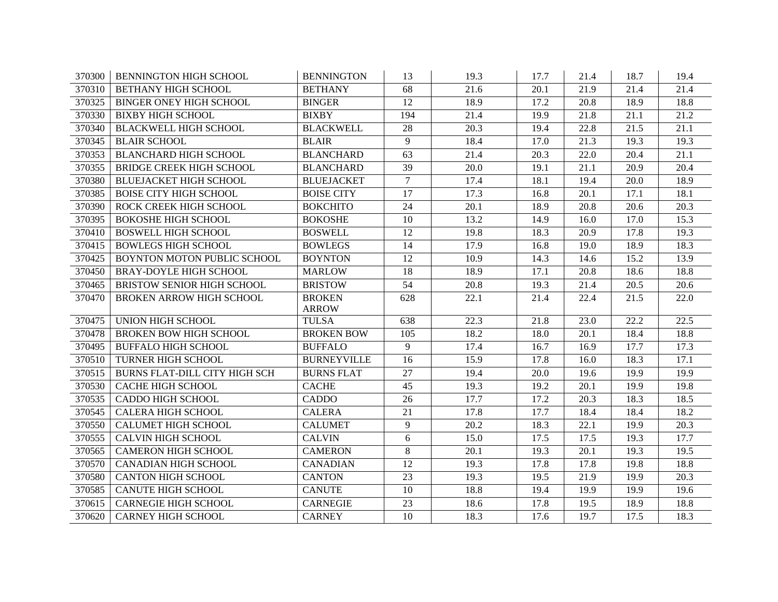| 370300 | <b>BENNINGTON HIGH SCHOOL</b>        | <b>BENNINGTON</b>             | 13              | 19.3              | 17.7 | 21.4 | 18.7 | 19.4              |
|--------|--------------------------------------|-------------------------------|-----------------|-------------------|------|------|------|-------------------|
| 370310 | <b>BETHANY HIGH SCHOOL</b>           | <b>BETHANY</b>                | 68              | 21.6              | 20.1 | 21.9 | 21.4 | 21.4              |
| 370325 | <b>BINGER ONEY HIGH SCHOOL</b>       | <b>BINGER</b>                 | 12              | 18.9              | 17.2 | 20.8 | 18.9 | 18.8              |
| 370330 | <b>BIXBY HIGH SCHOOL</b>             | <b>BIXBY</b>                  | 194             | 21.4              | 19.9 | 21.8 | 21.1 | 21.2              |
| 370340 | <b>BLACKWELL HIGH SCHOOL</b>         | <b>BLACKWELL</b>              | $\overline{28}$ | $\overline{20.3}$ | 19.4 | 22.8 | 21.5 | $\overline{21.1}$ |
| 370345 | <b>BLAIR SCHOOL</b>                  | <b>BLAIR</b>                  | 9               | 18.4              | 17.0 | 21.3 | 19.3 | 19.3              |
| 370353 | <b>BLANCHARD HIGH SCHOOL</b>         | <b>BLANCHARD</b>              | 63              | 21.4              | 20.3 | 22.0 | 20.4 | 21.1              |
| 370355 | BRIDGE CREEK HIGH SCHOOL             | <b>BLANCHARD</b>              | $\overline{39}$ | 20.0              | 19.1 | 21.1 | 20.9 | 20.4              |
| 370380 | <b>BLUEJACKET HIGH SCHOOL</b>        | <b>BLUEJACKET</b>             | $\overline{7}$  | 17.4              | 18.1 | 19.4 | 20.0 | 18.9              |
| 370385 | <b>BOISE CITY HIGH SCHOOL</b>        | <b>BOISE CITY</b>             | 17              | 17.3              | 16.8 | 20.1 | 17.1 | 18.1              |
| 370390 | ROCK CREEK HIGH SCHOOL               | <b>BOKCHITO</b>               | $\overline{24}$ | 20.1              | 18.9 | 20.8 | 20.6 | $\overline{20.3}$ |
| 370395 | <b>BOKOSHE HIGH SCHOOL</b>           | <b>BOKOSHE</b>                | 10              | 13.2              | 14.9 | 16.0 | 17.0 | 15.3              |
| 370410 | <b>BOSWELL HIGH SCHOOL</b>           | <b>BOSWELL</b>                | 12              | 19.8              | 18.3 | 20.9 | 17.8 | 19.3              |
| 370415 | <b>BOWLEGS HIGH SCHOOL</b>           | <b>BOWLEGS</b>                | 14              | 17.9              | 16.8 | 19.0 | 18.9 | 18.3              |
| 370425 | BOYNTON MOTON PUBLIC SCHOOL          | <b>BOYNTON</b>                | 12              | 10.9              | 14.3 | 14.6 | 15.2 | 13.9              |
| 370450 | <b>BRAY-DOYLE HIGH SCHOOL</b>        | <b>MARLOW</b>                 | 18              | 18.9              | 17.1 | 20.8 | 18.6 | 18.8              |
| 370465 | BRISTOW SENIOR HIGH SCHOOL           | <b>BRISTOW</b>                | 54              | 20.8              | 19.3 | 21.4 | 20.5 | 20.6              |
| 370470 | <b>BROKEN ARROW HIGH SCHOOL</b>      | <b>BROKEN</b><br><b>ARROW</b> | 628             | 22.1              | 21.4 | 22.4 | 21.5 | 22.0              |
| 370475 | <b>UNION HIGH SCHOOL</b>             | <b>TULSA</b>                  | 638             | 22.3              | 21.8 | 23.0 | 22.2 | 22.5              |
| 370478 | <b>BROKEN BOW HIGH SCHOOL</b>        | <b>BROKEN BOW</b>             | 105             | 18.2              | 18.0 | 20.1 | 18.4 | 18.8              |
| 370495 | <b>BUFFALO HIGH SCHOOL</b>           | <b>BUFFALO</b>                | 9               | 17.4              | 16.7 | 16.9 | 17.7 | 17.3              |
| 370510 | TURNER HIGH SCHOOL                   | <b>BURNEYVILLE</b>            | $\overline{16}$ | 15.9              | 17.8 | 16.0 | 18.3 | 17.1              |
| 370515 | <b>BURNS FLAT-DILL CITY HIGH SCH</b> | <b>BURNS FLAT</b>             | 27              | 19.4              | 20.0 | 19.6 | 19.9 | 19.9              |
| 370530 | <b>CACHE HIGH SCHOOL</b>             | <b>CACHE</b>                  | $\overline{45}$ | 19.3              | 19.2 | 20.1 | 19.9 | 19.8              |
| 370535 | CADDO HIGH SCHOOL                    | <b>CADDO</b>                  | 26              | 17.7              | 17.2 | 20.3 | 18.3 | 18.5              |
| 370545 | <b>CALERA HIGH SCHOOL</b>            | <b>CALERA</b>                 | 21              | 17.8              | 17.7 | 18.4 | 18.4 | 18.2              |
| 370550 | <b>CALUMET HIGH SCHOOL</b>           | <b>CALUMET</b>                | 9               | $\overline{20.2}$ | 18.3 | 22.1 | 19.9 | $\overline{20.3}$ |
| 370555 | <b>CALVIN HIGH SCHOOL</b>            | <b>CALVIN</b>                 | 6               | 15.0              | 17.5 | 17.5 | 19.3 | 17.7              |
| 370565 | <b>CAMERON HIGH SCHOOL</b>           | <b>CAMERON</b>                | 8               | 20.1              | 19.3 | 20.1 | 19.3 | 19.5              |
| 370570 | <b>CANADIAN HIGH SCHOOL</b>          | <b>CANADIAN</b>               | 12              | 19.3              | 17.8 | 17.8 | 19.8 | 18.8              |
| 370580 | <b>CANTON HIGH SCHOOL</b>            | <b>CANTON</b>                 | 23              | 19.3              | 19.5 | 21.9 | 19.9 | 20.3              |
| 370585 | <b>CANUTE HIGH SCHOOL</b>            | <b>CANUTE</b>                 | 10              | 18.8              | 19.4 | 19.9 | 19.9 | 19.6              |
| 370615 | <b>CARNEGIE HIGH SCHOOL</b>          | <b>CARNEGIE</b>               | 23              | 18.6              | 17.8 | 19.5 | 18.9 | 18.8              |
| 370620 | <b>CARNEY HIGH SCHOOL</b>            | <b>CARNEY</b>                 | 10              | 18.3              | 17.6 | 19.7 | 17.5 | 18.3              |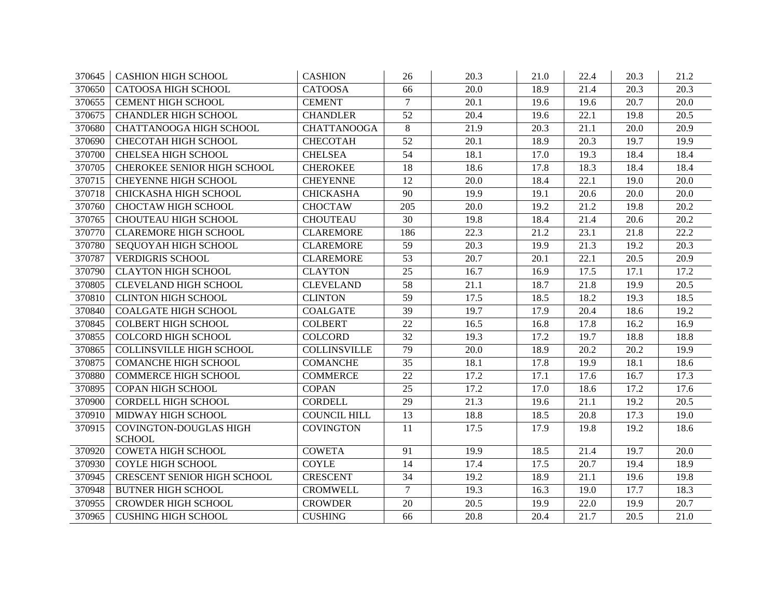| 370645 | <b>CASHION HIGH SCHOOL</b>         | <b>CASHION</b>      | 26              | 20.3              | 21.0 | 22.4 | 20.3 | 21.2 |
|--------|------------------------------------|---------------------|-----------------|-------------------|------|------|------|------|
| 370650 | <b>CATOOSA HIGH SCHOOL</b>         | <b>CATOOSA</b>      | 66              | 20.0              | 18.9 | 21.4 | 20.3 | 20.3 |
| 370655 | <b>CEMENT HIGH SCHOOL</b>          | <b>CEMENT</b>       | $\tau$          | 20.1              | 19.6 | 19.6 | 20.7 | 20.0 |
| 370675 | <b>CHANDLER HIGH SCHOOL</b>        | <b>CHANDLER</b>     | 52              | 20.4              | 19.6 | 22.1 | 19.8 | 20.5 |
| 370680 | <b>CHATTANOOGA HIGH SCHOOL</b>     | <b>CHATTANOOGA</b>  | 8               | 21.9              | 20.3 | 21.1 | 20.0 | 20.9 |
| 370690 | CHECOTAH HIGH SCHOOL               | <b>CHECOTAH</b>     | 52              | 20.1              | 18.9 | 20.3 | 19.7 | 19.9 |
| 370700 | <b>CHELSEA HIGH SCHOOL</b>         | <b>CHELSEA</b>      | 54              | 18.1              | 17.0 | 19.3 | 18.4 | 18.4 |
| 370705 | <b>CHEROKEE SENIOR HIGH SCHOOL</b> | <b>CHEROKEE</b>     | 18              | 18.6              | 17.8 | 18.3 | 18.4 | 18.4 |
| 370715 | <b>CHEYENNE HIGH SCHOOL</b>        | <b>CHEYENNE</b>     | 12              | 20.0              | 18.4 | 22.1 | 19.0 | 20.0 |
| 370718 | CHICKASHA HIGH SCHOOL              | <b>CHICKASHA</b>    | 90              | 19.9              | 19.1 | 20.6 | 20.0 | 20.0 |
| 370760 | <b>CHOCTAW HIGH SCHOOL</b>         | <b>CHOCTAW</b>      | 205             | 20.0              | 19.2 | 21.2 | 19.8 | 20.2 |
| 370765 | <b>CHOUTEAU HIGH SCHOOL</b>        | <b>CHOUTEAU</b>     | 30              | 19.8              | 18.4 | 21.4 | 20.6 | 20.2 |
| 370770 | <b>CLAREMORE HIGH SCHOOL</b>       | <b>CLAREMORE</b>    | 186             | 22.3              | 21.2 | 23.1 | 21.8 | 22.2 |
| 370780 | SEQUOYAH HIGH SCHOOL               | <b>CLAREMORE</b>    | 59              | 20.3              | 19.9 | 21.3 | 19.2 | 20.3 |
| 370787 | <b>VERDIGRIS SCHOOL</b>            | <b>CLAREMORE</b>    | 53              | 20.7              | 20.1 | 22.1 | 20.5 | 20.9 |
| 370790 | <b>CLAYTON HIGH SCHOOL</b>         | <b>CLAYTON</b>      | 25              | 16.7              | 16.9 | 17.5 | 17.1 | 17.2 |
| 370805 | <b>CLEVELAND HIGH SCHOOL</b>       | <b>CLEVELAND</b>    | 58              | 21.1              | 18.7 | 21.8 | 19.9 | 20.5 |
| 370810 | <b>CLINTON HIGH SCHOOL</b>         | <b>CLINTON</b>      | 59              | 17.5              | 18.5 | 18.2 | 19.3 | 18.5 |
| 370840 | <b>COALGATE HIGH SCHOOL</b>        | <b>COALGATE</b>     | 39              | 19.7              | 17.9 | 20.4 | 18.6 | 19.2 |
| 370845 | <b>COLBERT HIGH SCHOOL</b>         | <b>COLBERT</b>      | 22              | 16.5              | 16.8 | 17.8 | 16.2 | 16.9 |
| 370855 | <b>COLCORD HIGH SCHOOL</b>         | <b>COLCORD</b>      | 32              | 19.3              | 17.2 | 19.7 | 18.8 | 18.8 |
| 370865 | <b>COLLINSVILLE HIGH SCHOOL</b>    | <b>COLLINSVILLE</b> | 79              | 20.0              | 18.9 | 20.2 | 20.2 | 19.9 |
| 370875 | <b>COMANCHE HIGH SCHOOL</b>        | <b>COMANCHE</b>     | $\overline{35}$ | 18.1              | 17.8 | 19.9 | 18.1 | 18.6 |
| 370880 | <b>COMMERCE HIGH SCHOOL</b>        | <b>COMMERCE</b>     | 22              | 17.2              | 17.1 | 17.6 | 16.7 | 17.3 |
| 370895 | <b>COPAN HIGH SCHOOL</b>           | <b>COPAN</b>        | $\overline{25}$ | 17.2              | 17.0 | 18.6 | 17.2 | 17.6 |
| 370900 | <b>CORDELL HIGH SCHOOL</b>         | <b>CORDELL</b>      | 29              | $\overline{21.3}$ | 19.6 | 21.1 | 19.2 | 20.5 |
| 370910 | MIDWAY HIGH SCHOOL                 | <b>COUNCIL HILL</b> | 13              | 18.8              | 18.5 | 20.8 | 17.3 | 19.0 |
| 370915 | <b>COVINGTON-DOUGLAS HIGH</b>      | <b>COVINGTON</b>    | 11              | 17.5              | 17.9 | 19.8 | 19.2 | 18.6 |
|        | <b>SCHOOL</b>                      |                     |                 |                   |      |      |      |      |
| 370920 | <b>COWETA HIGH SCHOOL</b>          | <b>COWETA</b>       | 91              | 19.9              | 18.5 | 21.4 | 19.7 | 20.0 |
| 370930 | <b>COYLE HIGH SCHOOL</b>           | <b>COYLE</b>        | 14              | 17.4              | 17.5 | 20.7 | 19.4 | 18.9 |
| 370945 | <b>CRESCENT SENIOR HIGH SCHOOL</b> | <b>CRESCENT</b>     | 34              | 19.2              | 18.9 | 21.1 | 19.6 | 19.8 |
| 370948 | <b>BUTNER HIGH SCHOOL</b>          | <b>CROMWELL</b>     | $\tau$          | 19.3              | 16.3 | 19.0 | 17.7 | 18.3 |
| 370955 | <b>CROWDER HIGH SCHOOL</b>         | <b>CROWDER</b>      | 20              | 20.5              | 19.9 | 22.0 | 19.9 | 20.7 |
| 370965 | <b>CUSHING HIGH SCHOOL</b>         | <b>CUSHING</b>      | 66              | 20.8              | 20.4 | 21.7 | 20.5 | 21.0 |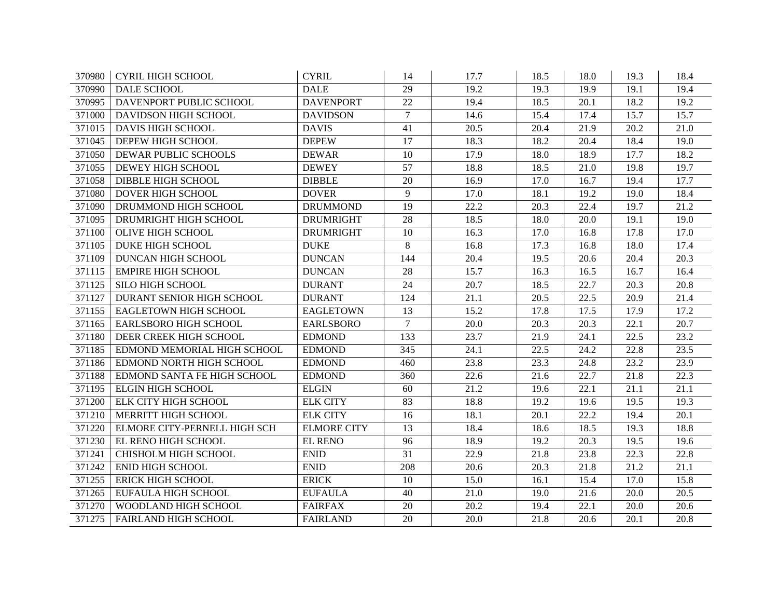| 370980 | <b>CYRIL HIGH SCHOOL</b>     | <b>CYRIL</b>       | 14             | 17.7              | 18.5 | 18.0 | 19.3              | 18.4 |
|--------|------------------------------|--------------------|----------------|-------------------|------|------|-------------------|------|
| 370990 | <b>DALE SCHOOL</b>           | <b>DALE</b>        | 29             | 19.2              | 19.3 | 19.9 | 19.1              | 19.4 |
| 370995 | DAVENPORT PUBLIC SCHOOL      | <b>DAVENPORT</b>   | 22             | 19.4              | 18.5 | 20.1 | 18.2              | 19.2 |
| 371000 | <b>DAVIDSON HIGH SCHOOL</b>  | <b>DAVIDSON</b>    | $\tau$         | 14.6              | 15.4 | 17.4 | 15.7              | 15.7 |
| 371015 | <b>DAVIS HIGH SCHOOL</b>     | <b>DAVIS</b>       | 41             | $\overline{20.5}$ | 20.4 | 21.9 | 20.2              | 21.0 |
| 371045 | DEPEW HIGH SCHOOL            | <b>DEPEW</b>       | 17             | 18.3              | 18.2 | 20.4 | 18.4              | 19.0 |
| 371050 | DEWAR PUBLIC SCHOOLS         | <b>DEWAR</b>       | 10             | 17.9              | 18.0 | 18.9 | 17.7              | 18.2 |
| 371055 | DEWEY HIGH SCHOOL            | <b>DEWEY</b>       | 57             | 18.8              | 18.5 | 21.0 | 19.8              | 19.7 |
| 371058 | <b>DIBBLE HIGH SCHOOL</b>    | <b>DIBBLE</b>      | 20             | 16.9              | 17.0 | 16.7 | 19.4              | 17.7 |
| 371080 | DOVER HIGH SCHOOL            | <b>DOVER</b>       | 9              | 17.0              | 18.1 | 19.2 | 19.0              | 18.4 |
| 371090 | DRUMMOND HIGH SCHOOL         | <b>DRUMMOND</b>    | 19             | 22.2              | 20.3 | 22.4 | 19.7              | 21.2 |
| 371095 | DRUMRIGHT HIGH SCHOOL        | <b>DRUMRIGHT</b>   | 28             | 18.5              | 18.0 | 20.0 | 19.1              | 19.0 |
| 371100 | <b>OLIVE HIGH SCHOOL</b>     | <b>DRUMRIGHT</b>   | 10             | 16.3              | 17.0 | 16.8 | 17.8              | 17.0 |
| 371105 | <b>DUKE HIGH SCHOOL</b>      | <b>DUKE</b>        | 8              | 16.8              | 17.3 | 16.8 | 18.0              | 17.4 |
| 371109 | DUNCAN HIGH SCHOOL           | <b>DUNCAN</b>      | 144            | 20.4              | 19.5 | 20.6 | 20.4              | 20.3 |
| 371115 | <b>EMPIRE HIGH SCHOOL</b>    | <b>DUNCAN</b>      | 28             | 15.7              | 16.3 | 16.5 | 16.7              | 16.4 |
| 371125 | <b>SILO HIGH SCHOOL</b>      | <b>DURANT</b>      | 24             | 20.7              | 18.5 | 22.7 | 20.3              | 20.8 |
| 371127 | DURANT SENIOR HIGH SCHOOL    | <b>DURANT</b>      | 124            | 21.1              | 20.5 | 22.5 | 20.9              | 21.4 |
| 371155 | EAGLETOWN HIGH SCHOOL        | <b>EAGLETOWN</b>   | 13             | 15.2              | 17.8 | 17.5 | 17.9              | 17.2 |
| 371165 | EARLSBORO HIGH SCHOOL        | <b>EARLSBORO</b>   | $\overline{7}$ | 20.0              | 20.3 | 20.3 | 22.1              | 20.7 |
| 371180 | DEER CREEK HIGH SCHOOL       | <b>EDMOND</b>      | 133            | 23.7              | 21.9 | 24.1 | 22.5              | 23.2 |
| 371185 | EDMOND MEMORIAL HIGH SCHOOL  | <b>EDMOND</b>      | 345            | 24.1              | 22.5 | 24.2 | 22.8              | 23.5 |
| 371186 | EDMOND NORTH HIGH SCHOOL     | <b>EDMOND</b>      | 460            | 23.8              | 23.3 | 24.8 | 23.2              | 23.9 |
| 371188 | EDMOND SANTA FE HIGH SCHOOL  | <b>EDMOND</b>      | 360            | 22.6              | 21.6 | 22.7 | 21.8              | 22.3 |
| 371195 | <b>ELGIN HIGH SCHOOL</b>     | <b>ELGIN</b>       | 60             | $\overline{21.2}$ | 19.6 | 22.1 | $\overline{21.1}$ | 21.1 |
| 371200 | ELK CITY HIGH SCHOOL         | <b>ELK CITY</b>    | 83             | 18.8              | 19.2 | 19.6 | 19.5              | 19.3 |
| 371210 | MERRITT HIGH SCHOOL          | <b>ELK CITY</b>    | 16             | 18.1              | 20.1 | 22.2 | 19.4              | 20.1 |
| 371220 | ELMORE CITY-PERNELL HIGH SCH | <b>ELMORE CITY</b> | 13             | 18.4              | 18.6 | 18.5 | 19.3              | 18.8 |
| 371230 | EL RENO HIGH SCHOOL          | <b>EL RENO</b>     | 96             | 18.9              | 19.2 | 20.3 | 19.5              | 19.6 |
| 371241 | CHISHOLM HIGH SCHOOL         | <b>ENID</b>        | 31             | 22.9              | 21.8 | 23.8 | 22.3              | 22.8 |
| 371242 | <b>ENID HIGH SCHOOL</b>      | <b>ENID</b>        | 208            | 20.6              | 20.3 | 21.8 | 21.2              | 21.1 |
| 371255 | <b>ERICK HIGH SCHOOL</b>     | <b>ERICK</b>       | 10             | 15.0              | 16.1 | 15.4 | 17.0              | 15.8 |
| 371265 | EUFAULA HIGH SCHOOL          | <b>EUFAULA</b>     | 40             | 21.0              | 19.0 | 21.6 | 20.0              | 20.5 |
| 371270 | WOODLAND HIGH SCHOOL         | <b>FAIRFAX</b>     | 20             | 20.2              | 19.4 | 22.1 | 20.0              | 20.6 |
| 371275 | <b>FAIRLAND HIGH SCHOOL</b>  | <b>FAIRLAND</b>    | 20             | 20.0              | 21.8 | 20.6 | 20.1              | 20.8 |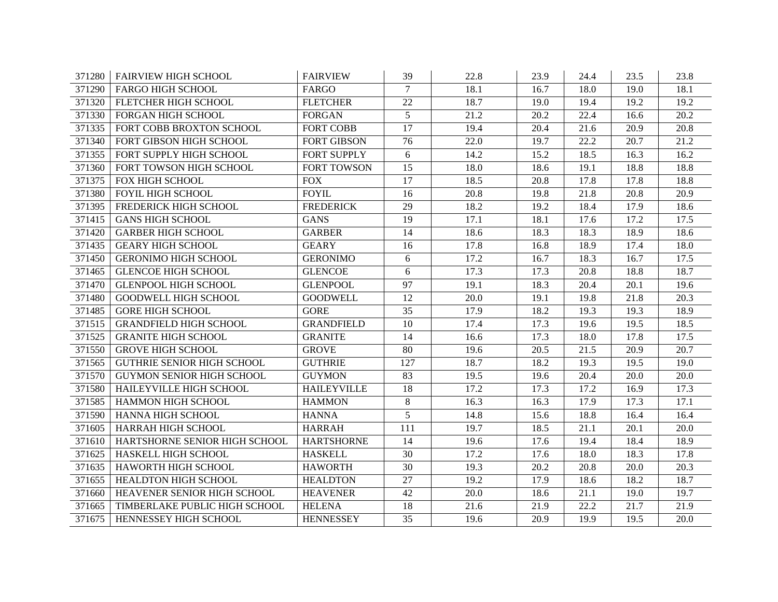| 371280 | <b>FAIRVIEW HIGH SCHOOL</b>       | <b>FAIRVIEW</b>    | 39     | 22.8 | 23.9 | 24.4 | 23.5              | 23.8              |
|--------|-----------------------------------|--------------------|--------|------|------|------|-------------------|-------------------|
| 371290 | <b>FARGO HIGH SCHOOL</b>          | FARGO              | $\tau$ | 18.1 | 16.7 | 18.0 | 19.0              | 18.1              |
| 371320 | FLETCHER HIGH SCHOOL              | <b>FLETCHER</b>    | 22     | 18.7 | 19.0 | 19.4 | 19.2              | 19.2              |
| 371330 | FORGAN HIGH SCHOOL                | <b>FORGAN</b>      | 5      | 21.2 | 20.2 | 22.4 | 16.6              | 20.2              |
| 371335 | FORT COBB BROXTON SCHOOL          | <b>FORT COBB</b>   | 17     | 19.4 | 20.4 | 21.6 | 20.9              | $\overline{20.8}$ |
| 371340 | FORT GIBSON HIGH SCHOOL           | <b>FORT GIBSON</b> | 76     | 22.0 | 19.7 | 22.2 | 20.7              | 21.2              |
| 371355 | FORT SUPPLY HIGH SCHOOL           | <b>FORT SUPPLY</b> | 6      | 14.2 | 15.2 | 18.5 | 16.3              | 16.2              |
| 371360 | FORT TOWSON HIGH SCHOOL           | FORT TOWSON        | 15     | 18.0 | 18.6 | 19.1 | 18.8              | 18.8              |
| 371375 | FOX HIGH SCHOOL                   | <b>FOX</b>         | 17     | 18.5 | 20.8 | 17.8 | 17.8              | 18.8              |
| 371380 | <b>FOYIL HIGH SCHOOL</b>          | <b>FOYIL</b>       | 16     | 20.8 | 19.8 | 21.8 | 20.8              | 20.9              |
| 371395 | FREDERICK HIGH SCHOOL             | <b>FREDERICK</b>   | 29     | 18.2 | 19.2 | 18.4 | 17.9              | 18.6              |
| 371415 | <b>GANS HIGH SCHOOL</b>           | <b>GANS</b>        | 19     | 17.1 | 18.1 | 17.6 | 17.2              | 17.5              |
| 371420 | <b>GARBER HIGH SCHOOL</b>         | <b>GARBER</b>      | 14     | 18.6 | 18.3 | 18.3 | 18.9              | 18.6              |
| 371435 | <b>GEARY HIGH SCHOOL</b>          | <b>GEARY</b>       | 16     | 17.8 | 16.8 | 18.9 | 17.4              | 18.0              |
| 371450 | <b>GERONIMO HIGH SCHOOL</b>       | <b>GERONIMO</b>    | 6      | 17.2 | 16.7 | 18.3 | 16.7              | 17.5              |
| 371465 | <b>GLENCOE HIGH SCHOOL</b>        | <b>GLENCOE</b>     | 6      | 17.3 | 17.3 | 20.8 | 18.8              | 18.7              |
| 371470 | <b>GLENPOOL HIGH SCHOOL</b>       | <b>GLENPOOL</b>    | 97     | 19.1 | 18.3 | 20.4 | 20.1              | 19.6              |
| 371480 | <b>GOODWELL HIGH SCHOOL</b>       | <b>GOODWELL</b>    | 12     | 20.0 | 19.1 | 19.8 | 21.8              | 20.3              |
| 371485 | <b>GORE HIGH SCHOOL</b>           | <b>GORE</b>        | 35     | 17.9 | 18.2 | 19.3 | 19.3              | 18.9              |
| 371515 | <b>GRANDFIELD HIGH SCHOOL</b>     | <b>GRANDFIELD</b>  | 10     | 17.4 | 17.3 | 19.6 | 19.5              | 18.5              |
| 371525 | <b>GRANITE HIGH SCHOOL</b>        | <b>GRANITE</b>     | 14     | 16.6 | 17.3 | 18.0 | 17.8              | 17.5              |
| 371550 | <b>GROVE HIGH SCHOOL</b>          | <b>GROVE</b>       | 80     | 19.6 | 20.5 | 21.5 | 20.9              | 20.7              |
| 371565 | <b>GUTHRIE SENIOR HIGH SCHOOL</b> | <b>GUTHRIE</b>     | 127    | 18.7 | 18.2 | 19.3 | 19.5              | 19.0              |
| 371570 | <b>GUYMON SENIOR HIGH SCHOOL</b>  | <b>GUYMON</b>      | 83     | 19.5 | 19.6 | 20.4 | 20.0              | 20.0              |
| 371580 | HAILEYVILLE HIGH SCHOOL           | <b>HAILEYVILLE</b> | 18     | 17.2 | 17.3 | 17.2 | 16.9              | 17.3              |
| 371585 | HAMMON HIGH SCHOOL                | <b>HAMMON</b>      | 8      | 16.3 | 16.3 | 17.9 | 17.3              | 17.1              |
| 371590 | HANNA HIGH SCHOOL                 | <b>HANNA</b>       | 5      | 14.8 | 15.6 | 18.8 | 16.4              | 16.4              |
| 371605 | <b>HARRAH HIGH SCHOOL</b>         | <b>HARRAH</b>      | 111    | 19.7 | 18.5 | 21.1 | $\overline{20.1}$ | $\overline{20.0}$ |
| 371610 | HARTSHORNE SENIOR HIGH SCHOOL     | <b>HARTSHORNE</b>  | 14     | 19.6 | 17.6 | 19.4 | 18.4              | 18.9              |
| 371625 | HASKELL HIGH SCHOOL               | <b>HASKELL</b>     | 30     | 17.2 | 17.6 | 18.0 | 18.3              | 17.8              |
| 371635 | HAWORTH HIGH SCHOOL               | <b>HAWORTH</b>     | 30     | 19.3 | 20.2 | 20.8 | 20.0              | 20.3              |
| 371655 | HEALDTON HIGH SCHOOL              | <b>HEALDTON</b>    | 27     | 19.2 | 17.9 | 18.6 | 18.2              | 18.7              |
| 371660 | HEAVENER SENIOR HIGH SCHOOL       | <b>HEAVENER</b>    | 42     | 20.0 | 18.6 | 21.1 | 19.0              | 19.7              |
| 371665 | TIMBERLAKE PUBLIC HIGH SCHOOL     | <b>HELENA</b>      | 18     | 21.6 | 21.9 | 22.2 | 21.7              | 21.9              |
| 371675 | HENNESSEY HIGH SCHOOL             | <b>HENNESSEY</b>   | 35     | 19.6 | 20.9 | 19.9 | 19.5              | 20.0              |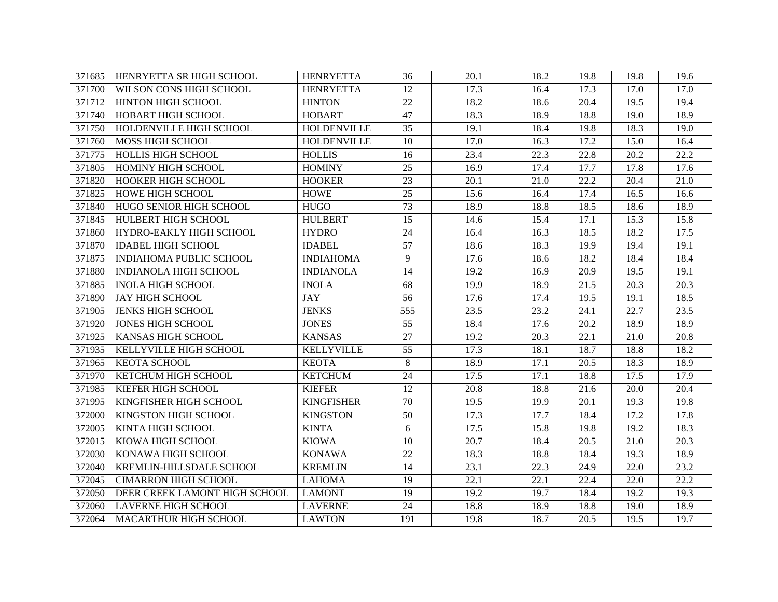| 371685 | HENRYETTA SR HIGH SCHOOL       | <b>HENRYETTA</b>   | 36              | 20.1 | 18.2 | 19.8 | 19.8 | 19.6 |
|--------|--------------------------------|--------------------|-----------------|------|------|------|------|------|
| 371700 | WILSON CONS HIGH SCHOOL        | <b>HENRYETTA</b>   | 12              | 17.3 | 16.4 | 17.3 | 17.0 | 17.0 |
| 371712 | HINTON HIGH SCHOOL             | <b>HINTON</b>      | 22              | 18.2 | 18.6 | 20.4 | 19.5 | 19.4 |
| 371740 | HOBART HIGH SCHOOL             | <b>HOBART</b>      | 47              | 18.3 | 18.9 | 18.8 | 19.0 | 18.9 |
| 371750 | HOLDENVILLE HIGH SCHOOL        | <b>HOLDENVILLE</b> | 35              | 19.1 | 18.4 | 19.8 | 18.3 | 19.0 |
| 371760 | MOSS HIGH SCHOOL               | <b>HOLDENVILLE</b> | 10              | 17.0 | 16.3 | 17.2 | 15.0 | 16.4 |
| 371775 | HOLLIS HIGH SCHOOL             | <b>HOLLIS</b>      | 16              | 23.4 | 22.3 | 22.8 | 20.2 | 22.2 |
| 371805 | HOMINY HIGH SCHOOL             | <b>HOMINY</b>      | 25              | 16.9 | 17.4 | 17.7 | 17.8 | 17.6 |
| 371820 | HOOKER HIGH SCHOOL             | <b>HOOKER</b>      | 23              | 20.1 | 21.0 | 22.2 | 20.4 | 21.0 |
| 371825 | HOWE HIGH SCHOOL               | <b>HOWE</b>        | $\overline{25}$ | 15.6 | 16.4 | 17.4 | 16.5 | 16.6 |
| 371840 | HUGO SENIOR HIGH SCHOOL        | <b>HUGO</b>        | $\overline{73}$ | 18.9 | 18.8 | 18.5 | 18.6 | 18.9 |
| 371845 | HULBERT HIGH SCHOOL            | <b>HULBERT</b>     | 15              | 14.6 | 15.4 | 17.1 | 15.3 | 15.8 |
| 371860 | HYDRO-EAKLY HIGH SCHOOL        | <b>HYDRO</b>       | 24              | 16.4 | 16.3 | 18.5 | 18.2 | 17.5 |
| 371870 | <b>IDABEL HIGH SCHOOL</b>      | <b>IDABEL</b>      | 57              | 18.6 | 18.3 | 19.9 | 19.4 | 19.1 |
| 371875 | <b>INDIAHOMA PUBLIC SCHOOL</b> | <b>INDIAHOMA</b>   | 9               | 17.6 | 18.6 | 18.2 | 18.4 | 18.4 |
| 371880 | <b>INDIANOLA HIGH SCHOOL</b>   | <b>INDIANOLA</b>   | 14              | 19.2 | 16.9 | 20.9 | 19.5 | 19.1 |
| 371885 | <b>INOLA HIGH SCHOOL</b>       | <b>INOLA</b>       | 68              | 19.9 | 18.9 | 21.5 | 20.3 | 20.3 |
| 371890 | <b>JAY HIGH SCHOOL</b>         | <b>JAY</b>         | 56              | 17.6 | 17.4 | 19.5 | 19.1 | 18.5 |
| 371905 | <b>JENKS HIGH SCHOOL</b>       | <b>JENKS</b>       | 555             | 23.5 | 23.2 | 24.1 | 22.7 | 23.5 |
| 371920 | <b>JONES HIGH SCHOOL</b>       | <b>JONES</b>       | 55              | 18.4 | 17.6 | 20.2 | 18.9 | 18.9 |
| 371925 | KANSAS HIGH SCHOOL             | <b>KANSAS</b>      | 27              | 19.2 | 20.3 | 22.1 | 21.0 | 20.8 |
| 371935 | KELLYVILLE HIGH SCHOOL         | <b>KELLYVILLE</b>  | 55              | 17.3 | 18.1 | 18.7 | 18.8 | 18.2 |
| 371965 | KEOTA SCHOOL                   | <b>KEOTA</b>       | 8               | 18.9 | 17.1 | 20.5 | 18.3 | 18.9 |
| 371970 | KETCHUM HIGH SCHOOL            | <b>KETCHUM</b>     | 24              | 17.5 | 17.1 | 18.8 | 17.5 | 17.9 |
| 371985 | KIEFER HIGH SCHOOL             | <b>KIEFER</b>      | 12              | 20.8 | 18.8 | 21.6 | 20.0 | 20.4 |
| 371995 | KINGFISHER HIGH SCHOOL         | <b>KINGFISHER</b>  | 70              | 19.5 | 19.9 | 20.1 | 19.3 | 19.8 |
| 372000 | KINGSTON HIGH SCHOOL           | <b>KINGSTON</b>    | 50              | 17.3 | 17.7 | 18.4 | 17.2 | 17.8 |
| 372005 | KINTA HIGH SCHOOL              | <b>KINTA</b>       | 6               | 17.5 | 15.8 | 19.8 | 19.2 | 18.3 |
| 372015 | KIOWA HIGH SCHOOL              | <b>KIOWA</b>       | 10              | 20.7 | 18.4 | 20.5 | 21.0 | 20.3 |
| 372030 | KONAWA HIGH SCHOOL             | <b>KONAWA</b>      | 22              | 18.3 | 18.8 | 18.4 | 19.3 | 18.9 |
| 372040 | KREMLIN-HILLSDALE SCHOOL       | <b>KREMLIN</b>     | 14              | 23.1 | 22.3 | 24.9 | 22.0 | 23.2 |
| 372045 | <b>CIMARRON HIGH SCHOOL</b>    | <b>LAHOMA</b>      | 19              | 22.1 | 22.1 | 22.4 | 22.0 | 22.2 |
| 372050 | DEER CREEK LAMONT HIGH SCHOOL  | <b>LAMONT</b>      | 19              | 19.2 | 19.7 | 18.4 | 19.2 | 19.3 |
| 372060 | <b>LAVERNE HIGH SCHOOL</b>     | <b>LAVERNE</b>     | 24              | 18.8 | 18.9 | 18.8 | 19.0 | 18.9 |
| 372064 | MACARTHUR HIGH SCHOOL          | <b>LAWTON</b>      | 191             | 19.8 | 18.7 | 20.5 | 19.5 | 19.7 |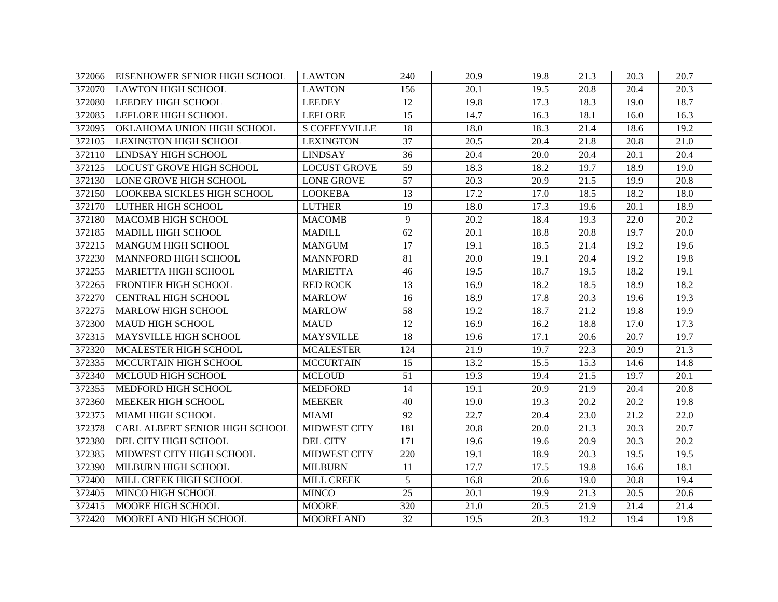| 372066 | EISENHOWER SENIOR HIGH SCHOOL   | <b>LAWTON</b>        | 240             | 20.9 | 19.8 | 21.3 | 20.3              | 20.7 |
|--------|---------------------------------|----------------------|-----------------|------|------|------|-------------------|------|
| 372070 | <b>LAWTON HIGH SCHOOL</b>       | <b>LAWTON</b>        | 156             | 20.1 | 19.5 | 20.8 | 20.4              | 20.3 |
| 372080 | LEEDEY HIGH SCHOOL              | <b>LEEDEY</b>        | 12              | 19.8 | 17.3 | 18.3 | 19.0              | 18.7 |
| 372085 | LEFLORE HIGH SCHOOL             | <b>LEFLORE</b>       | 15              | 14.7 | 16.3 | 18.1 | 16.0              | 16.3 |
| 372095 | OKLAHOMA UNION HIGH SCHOOL      | <b>S COFFEYVILLE</b> | 18              | 18.0 | 18.3 | 21.4 | 18.6              | 19.2 |
| 372105 | <b>LEXINGTON HIGH SCHOOL</b>    | <b>LEXINGTON</b>     | 37              | 20.5 | 20.4 | 21.8 | 20.8              | 21.0 |
| 372110 | LINDSAY HIGH SCHOOL             | <b>LINDSAY</b>       | 36              | 20.4 | 20.0 | 20.4 | 20.1              | 20.4 |
| 372125 | <b>LOCUST GROVE HIGH SCHOOL</b> | <b>LOCUST GROVE</b>  | $\overline{59}$ | 18.3 | 18.2 | 19.7 | 18.9              | 19.0 |
| 372130 | LONE GROVE HIGH SCHOOL          | <b>LONE GROVE</b>    | 57              | 20.3 | 20.9 | 21.5 | 19.9              | 20.8 |
| 372150 | LOOKEBA SICKLES HIGH SCHOOL     | <b>LOOKEBA</b>       | 13              | 17.2 | 17.0 | 18.5 | 18.2              | 18.0 |
| 372170 | LUTHER HIGH SCHOOL              | <b>LUTHER</b>        | 19              | 18.0 | 17.3 | 19.6 | 20.1              | 18.9 |
| 372180 | MACOMB HIGH SCHOOL              | <b>MACOMB</b>        | 9               | 20.2 | 18.4 | 19.3 | 22.0              | 20.2 |
| 372185 | MADILL HIGH SCHOOL              | <b>MADILL</b>        | 62              | 20.1 | 18.8 | 20.8 | 19.7              | 20.0 |
| 372215 | <b>MANGUM HIGH SCHOOL</b>       | <b>MANGUM</b>        | 17              | 19.1 | 18.5 | 21.4 | 19.2              | 19.6 |
| 372230 | MANNFORD HIGH SCHOOL            | <b>MANNFORD</b>      | 81              | 20.0 | 19.1 | 20.4 | 19.2              | 19.8 |
| 372255 | MARIETTA HIGH SCHOOL            | <b>MARIETTA</b>      | 46              | 19.5 | 18.7 | 19.5 | 18.2              | 19.1 |
| 372265 | FRONTIER HIGH SCHOOL            | <b>RED ROCK</b>      | 13              | 16.9 | 18.2 | 18.5 | 18.9              | 18.2 |
| 372270 | CENTRAL HIGH SCHOOL             | <b>MARLOW</b>        | 16              | 18.9 | 17.8 | 20.3 | 19.6              | 19.3 |
| 372275 | MARLOW HIGH SCHOOL              | <b>MARLOW</b>        | 58              | 19.2 | 18.7 | 21.2 | 19.8              | 19.9 |
| 372300 | MAUD HIGH SCHOOL                | <b>MAUD</b>          | 12              | 16.9 | 16.2 | 18.8 | 17.0              | 17.3 |
| 372315 | MAYSVILLE HIGH SCHOOL           | <b>MAYSVILLE</b>     | 18              | 19.6 | 17.1 | 20.6 | 20.7              | 19.7 |
| 372320 | MCALESTER HIGH SCHOOL           | <b>MCALESTER</b>     | 124             | 21.9 | 19.7 | 22.3 | $\overline{20.9}$ | 21.3 |
| 372335 | MCCURTAIN HIGH SCHOOL           | <b>MCCURTAIN</b>     | 15              | 13.2 | 15.5 | 15.3 | 14.6              | 14.8 |
| 372340 | MCLOUD HIGH SCHOOL              | <b>MCLOUD</b>        | 51              | 19.3 | 19.4 | 21.5 | 19.7              | 20.1 |
| 372355 | MEDFORD HIGH SCHOOL             | <b>MEDFORD</b>       | 14              | 19.1 | 20.9 | 21.9 | 20.4              | 20.8 |
| 372360 | MEEKER HIGH SCHOOL              | <b>MEEKER</b>        | 40              | 19.0 | 19.3 | 20.2 | 20.2              | 19.8 |
| 372375 | MIAMI HIGH SCHOOL               | <b>MIAMI</b>         | 92              | 22.7 | 20.4 | 23.0 | 21.2              | 22.0 |
| 372378 | CARL ALBERT SENIOR HIGH SCHOOL  | <b>MIDWEST CITY</b>  | 181             | 20.8 | 20.0 | 21.3 | 20.3              | 20.7 |
| 372380 | DEL CITY HIGH SCHOOL            | <b>DEL CITY</b>      | 171             | 19.6 | 19.6 | 20.9 | 20.3              | 20.2 |
| 372385 | MIDWEST CITY HIGH SCHOOL        | <b>MIDWEST CITY</b>  | 220             | 19.1 | 18.9 | 20.3 | 19.5              | 19.5 |
| 372390 | MILBURN HIGH SCHOOL             | <b>MILBURN</b>       | 11              | 17.7 | 17.5 | 19.8 | 16.6              | 18.1 |
| 372400 | MILL CREEK HIGH SCHOOL          | <b>MILL CREEK</b>    | 5               | 16.8 | 20.6 | 19.0 | 20.8              | 19.4 |
| 372405 | MINCO HIGH SCHOOL               | <b>MINCO</b>         | 25              | 20.1 | 19.9 | 21.3 | 20.5              | 20.6 |
| 372415 | MOORE HIGH SCHOOL               | <b>MOORE</b>         | 320             | 21.0 | 20.5 | 21.9 | 21.4              | 21.4 |
| 372420 | MOORELAND HIGH SCHOOL           | <b>MOORELAND</b>     | 32              | 19.5 | 20.3 | 19.2 | 19.4              | 19.8 |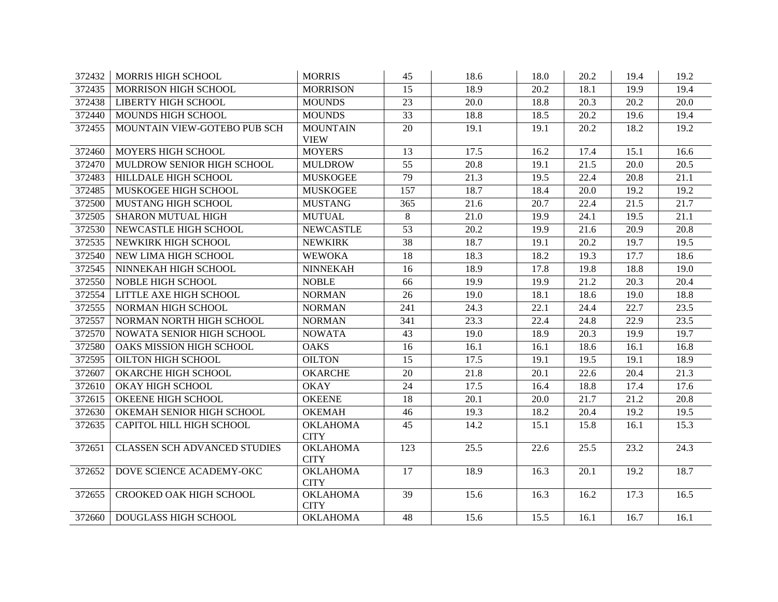| 372432 | <b>MORRIS HIGH SCHOOL</b>           | <b>MORRIS</b>                  | 45              | 18.6 | 18.0 | 20.2 | 19.4 | 19.2 |
|--------|-------------------------------------|--------------------------------|-----------------|------|------|------|------|------|
| 372435 | <b>MORRISON HIGH SCHOOL</b>         | <b>MORRISON</b>                | 15              | 18.9 | 20.2 | 18.1 | 19.9 | 19.4 |
| 372438 | LIBERTY HIGH SCHOOL                 | <b>MOUNDS</b>                  | 23              | 20.0 | 18.8 | 20.3 | 20.2 | 20.0 |
| 372440 | MOUNDS HIGH SCHOOL                  | <b>MOUNDS</b>                  | 33              | 18.8 | 18.5 | 20.2 | 19.6 | 19.4 |
| 372455 | MOUNTAIN VIEW-GOTEBO PUB SCH        | <b>MOUNTAIN</b><br><b>VIEW</b> | 20              | 19.1 | 19.1 | 20.2 | 18.2 | 19.2 |
| 372460 | MOYERS HIGH SCHOOL                  | <b>MOYERS</b>                  | 13              | 17.5 | 16.2 | 17.4 | 15.1 | 16.6 |
| 372470 | MULDROW SENIOR HIGH SCHOOL          | <b>MULDROW</b>                 | 55              | 20.8 | 19.1 | 21.5 | 20.0 | 20.5 |
| 372483 | HILLDALE HIGH SCHOOL                | <b>MUSKOGEE</b>                | 79              | 21.3 | 19.5 | 22.4 | 20.8 | 21.1 |
| 372485 | MUSKOGEE HIGH SCHOOL                | <b>MUSKOGEE</b>                | 157             | 18.7 | 18.4 | 20.0 | 19.2 | 19.2 |
| 372500 | MUSTANG HIGH SCHOOL                 | <b>MUSTANG</b>                 | 365             | 21.6 | 20.7 | 22.4 | 21.5 | 21.7 |
| 372505 | <b>SHARON MUTUAL HIGH</b>           | <b>MUTUAL</b>                  | 8               | 21.0 | 19.9 | 24.1 | 19.5 | 21.1 |
| 372530 | NEWCASTLE HIGH SCHOOL               | <b>NEWCASTLE</b>               | 53              | 20.2 | 19.9 | 21.6 | 20.9 | 20.8 |
| 372535 | NEWKIRK HIGH SCHOOL                 | <b>NEWKIRK</b>                 | $\overline{38}$ | 18.7 | 19.1 | 20.2 | 19.7 | 19.5 |
| 372540 | NEW LIMA HIGH SCHOOL                | <b>WEWOKA</b>                  | 18              | 18.3 | 18.2 | 19.3 | 17.7 | 18.6 |
| 372545 | NINNEKAH HIGH SCHOOL                | <b>NINNEKAH</b>                | 16              | 18.9 | 17.8 | 19.8 | 18.8 | 19.0 |
| 372550 | NOBLE HIGH SCHOOL                   | <b>NOBLE</b>                   | 66              | 19.9 | 19.9 | 21.2 | 20.3 | 20.4 |
| 372554 | LITTLE AXE HIGH SCHOOL              | <b>NORMAN</b>                  | 26              | 19.0 | 18.1 | 18.6 | 19.0 | 18.8 |
| 372555 | NORMAN HIGH SCHOOL                  | <b>NORMAN</b>                  | 241             | 24.3 | 22.1 | 24.4 | 22.7 | 23.5 |
| 372557 | NORMAN NORTH HIGH SCHOOL            | <b>NORMAN</b>                  | 341             | 23.3 | 22.4 | 24.8 | 22.9 | 23.5 |
| 372570 | NOWATA SENIOR HIGH SCHOOL           | <b>NOWATA</b>                  | 43              | 19.0 | 18.9 | 20.3 | 19.9 | 19.7 |
| 372580 | OAKS MISSION HIGH SCHOOL            | <b>OAKS</b>                    | 16              | 16.1 | 16.1 | 18.6 | 16.1 | 16.8 |
| 372595 | OILTON HIGH SCHOOL                  | <b>OILTON</b>                  | 15              | 17.5 | 19.1 | 19.5 | 19.1 | 18.9 |
| 372607 | OKARCHE HIGH SCHOOL                 | <b>OKARCHE</b>                 | 20              | 21.8 | 20.1 | 22.6 | 20.4 | 21.3 |
| 372610 | <b>OKAY HIGH SCHOOL</b>             | <b>OKAY</b>                    | $\overline{24}$ | 17.5 | 16.4 | 18.8 | 17.4 | 17.6 |
| 372615 | <b>OKEENE HIGH SCHOOL</b>           | <b>OKEENE</b>                  | $\overline{18}$ | 20.1 | 20.0 | 21.7 | 21.2 | 20.8 |
| 372630 | OKEMAH SENIOR HIGH SCHOOL           | <b>OKEMAH</b>                  | 46              | 19.3 | 18.2 | 20.4 | 19.2 | 19.5 |
| 372635 | CAPITOL HILL HIGH SCHOOL            | <b>OKLAHOMA</b><br><b>CITY</b> | 45              | 14.2 | 15.1 | 15.8 | 16.1 | 15.3 |
| 372651 | <b>CLASSEN SCH ADVANCED STUDIES</b> | <b>OKLAHOMA</b><br><b>CITY</b> | 123             | 25.5 | 22.6 | 25.5 | 23.2 | 24.3 |
| 372652 | DOVE SCIENCE ACADEMY-OKC            | <b>OKLAHOMA</b><br><b>CITY</b> | 17              | 18.9 | 16.3 | 20.1 | 19.2 | 18.7 |
| 372655 | CROOKED OAK HIGH SCHOOL             | <b>OKLAHOMA</b><br><b>CITY</b> | 39              | 15.6 | 16.3 | 16.2 | 17.3 | 16.5 |
| 372660 | <b>DOUGLASS HIGH SCHOOL</b>         | <b>OKLAHOMA</b>                | 48              | 15.6 | 15.5 | 16.1 | 16.7 | 16.1 |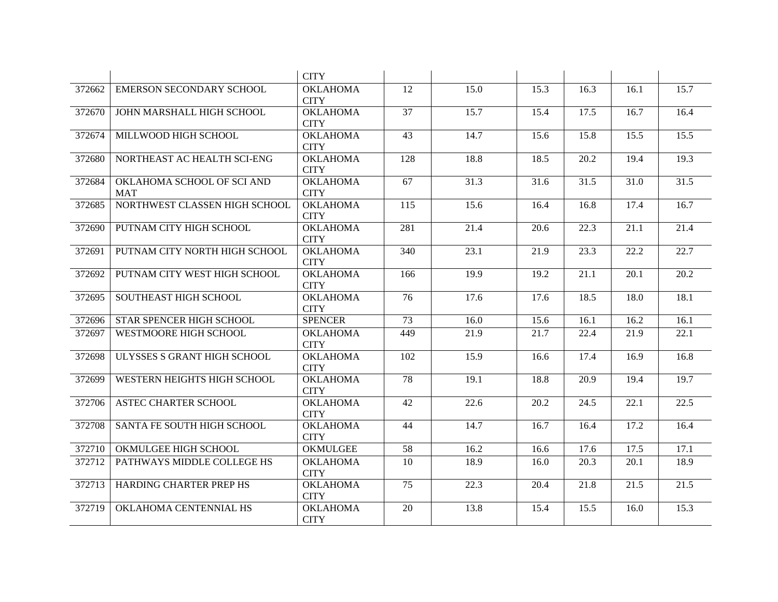|        |                                          | <b>CITY</b>                    |                  |      |      |                   |      |                   |
|--------|------------------------------------------|--------------------------------|------------------|------|------|-------------------|------|-------------------|
| 372662 | <b>EMERSON SECONDARY SCHOOL</b>          | <b>OKLAHOMA</b><br><b>CITY</b> | 12               | 15.0 | 15.3 | 16.3              | 16.1 | 15.7              |
| 372670 | JOHN MARSHALL HIGH SCHOOL                | <b>OKLAHOMA</b><br><b>CITY</b> | 37               | 15.7 | 15.4 | 17.5              | 16.7 | 16.4              |
| 372674 | MILLWOOD HIGH SCHOOL                     | <b>OKLAHOMA</b><br><b>CITY</b> | 43               | 14.7 | 15.6 | 15.8              | 15.5 | 15.5              |
| 372680 | NORTHEAST AC HEALTH SCI-ENG              | <b>OKLAHOMA</b><br><b>CITY</b> | $\overline{128}$ | 18.8 | 18.5 | $\overline{20.2}$ | 19.4 | 19.3              |
| 372684 | OKLAHOMA SCHOOL OF SCI AND<br><b>MAT</b> | <b>OKLAHOMA</b><br><b>CITY</b> | 67               | 31.3 | 31.6 | 31.5              | 31.0 | 31.5              |
| 372685 | NORTHWEST CLASSEN HIGH SCHOOL            | <b>OKLAHOMA</b><br><b>CITY</b> | 115              | 15.6 | 16.4 | 16.8              | 17.4 | 16.7              |
| 372690 | PUTNAM CITY HIGH SCHOOL                  | <b>OKLAHOMA</b><br><b>CITY</b> | 281              | 21.4 | 20.6 | 22.3              | 21.1 | 21.4              |
| 372691 | PUTNAM CITY NORTH HIGH SCHOOL            | <b>OKLAHOMA</b><br><b>CITY</b> | 340              | 23.1 | 21.9 | 23.3              | 22.2 | 22.7              |
| 372692 | PUTNAM CITY WEST HIGH SCHOOL             | <b>OKLAHOMA</b><br><b>CITY</b> | 166              | 19.9 | 19.2 | 21.1              | 20.1 | 20.2              |
| 372695 | SOUTHEAST HIGH SCHOOL                    | <b>OKLAHOMA</b><br><b>CITY</b> | 76               | 17.6 | 17.6 | 18.5              | 18.0 | 18.1              |
| 372696 | STAR SPENCER HIGH SCHOOL                 | <b>SPENCER</b>                 | 73               | 16.0 | 15.6 | 16.1              | 16.2 | 16.1              |
| 372697 | <b>WESTMOORE HIGH SCHOOL</b>             | <b>OKLAHOMA</b><br><b>CITY</b> | 449              | 21.9 | 21.7 | 22.4              | 21.9 | 22.1              |
| 372698 | ULYSSES S GRANT HIGH SCHOOL              | <b>OKLAHOMA</b><br><b>CITY</b> | 102              | 15.9 | 16.6 | 17.4              | 16.9 | 16.8              |
| 372699 | WESTERN HEIGHTS HIGH SCHOOL              | <b>OKLAHOMA</b><br><b>CITY</b> | 78               | 19.1 | 18.8 | 20.9              | 19.4 | 19.7              |
| 372706 | <b>ASTEC CHARTER SCHOOL</b>              | <b>OKLAHOMA</b><br><b>CITY</b> | 42               | 22.6 | 20.2 | 24.5              | 22.1 | $\overline{22.5}$ |
| 372708 | SANTA FE SOUTH HIGH SCHOOL               | <b>OKLAHOMA</b><br><b>CITY</b> | 44               | 14.7 | 16.7 | 16.4              | 17.2 | 16.4              |
| 372710 | OKMULGEE HIGH SCHOOL                     | <b>OKMULGEE</b>                | 58               | 16.2 | 16.6 | 17.6              | 17.5 | 17.1              |
| 372712 | PATHWAYS MIDDLE COLLEGE HS               | <b>OKLAHOMA</b><br><b>CITY</b> | 10               | 18.9 | 16.0 | 20.3              | 20.1 | 18.9              |
| 372713 | HARDING CHARTER PREP HS                  | <b>OKLAHOMA</b><br><b>CITY</b> | 75               | 22.3 | 20.4 | 21.8              | 21.5 | 21.5              |
| 372719 | OKLAHOMA CENTENNIAL HS                   | <b>OKLAHOMA</b><br><b>CITY</b> | 20               | 13.8 | 15.4 | 15.5              | 16.0 | 15.3              |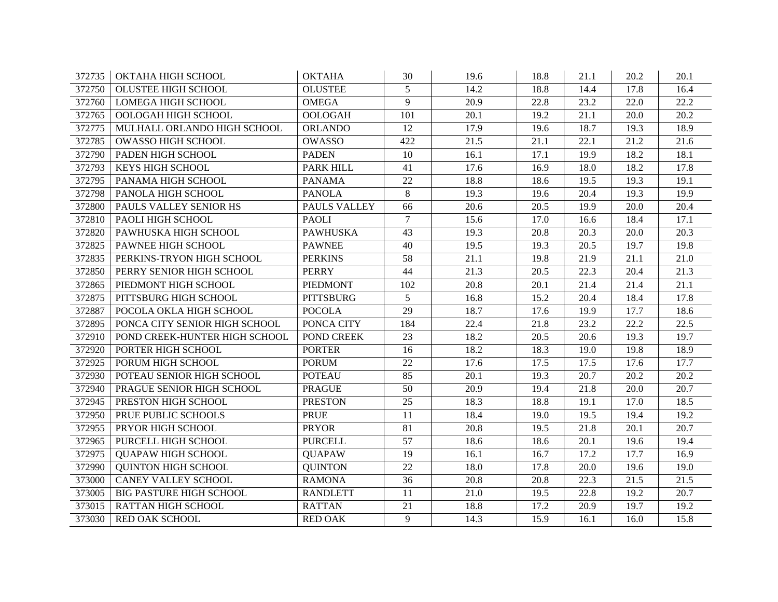| 372735 | OKTAHA HIGH SCHOOL             | <b>OKTAHA</b>    | 30              | 19.6 | 18.8 | 21.1 | 20.2 | 20.1 |
|--------|--------------------------------|------------------|-----------------|------|------|------|------|------|
| 372750 | <b>OLUSTEE HIGH SCHOOL</b>     | <b>OLUSTEE</b>   | 5               | 14.2 | 18.8 | 14.4 | 17.8 | 16.4 |
| 372760 | <b>LOMEGA HIGH SCHOOL</b>      | <b>OMEGA</b>     | 9               | 20.9 | 22.8 | 23.2 | 22.0 | 22.2 |
| 372765 | OOLOGAH HIGH SCHOOL            | <b>OOLOGAH</b>   | 101             | 20.1 | 19.2 | 21.1 | 20.0 | 20.2 |
| 372775 | MULHALL ORLANDO HIGH SCHOOL    | <b>ORLANDO</b>   | 12              | 17.9 | 19.6 | 18.7 | 19.3 | 18.9 |
| 372785 | OWASSO HIGH SCHOOL             | <b>OWASSO</b>    | 422             | 21.5 | 21.1 | 22.1 | 21.2 | 21.6 |
| 372790 | PADEN HIGH SCHOOL              | <b>PADEN</b>     | 10              | 16.1 | 17.1 | 19.9 | 18.2 | 18.1 |
| 372793 | <b>KEYS HIGH SCHOOL</b>        | PARK HILL        | 41              | 17.6 | 16.9 | 18.0 | 18.2 | 17.8 |
| 372795 | PANAMA HIGH SCHOOL             | <b>PANAMA</b>    | 22              | 18.8 | 18.6 | 19.5 | 19.3 | 19.1 |
| 372798 | PANOLA HIGH SCHOOL             | <b>PANOLA</b>    | 8               | 19.3 | 19.6 | 20.4 | 19.3 | 19.9 |
| 372800 | PAULS VALLEY SENIOR HS         | PAULS VALLEY     | 66              | 20.6 | 20.5 | 19.9 | 20.0 | 20.4 |
| 372810 | PAOLI HIGH SCHOOL              | <b>PAOLI</b>     | $\overline{7}$  | 15.6 | 17.0 | 16.6 | 18.4 | 17.1 |
| 372820 | PAWHUSKA HIGH SCHOOL           | <b>PAWHUSKA</b>  | 43              | 19.3 | 20.8 | 20.3 | 20.0 | 20.3 |
| 372825 | PAWNEE HIGH SCHOOL             | <b>PAWNEE</b>    | 40              | 19.5 | 19.3 | 20.5 | 19.7 | 19.8 |
| 372835 | PERKINS-TRYON HIGH SCHOOL      | <b>PERKINS</b>   | 58              | 21.1 | 19.8 | 21.9 | 21.1 | 21.0 |
| 372850 | PERRY SENIOR HIGH SCHOOL       | <b>PERRY</b>     | 44              | 21.3 | 20.5 | 22.3 | 20.4 | 21.3 |
| 372865 | PIEDMONT HIGH SCHOOL           | <b>PIEDMONT</b>  | 102             | 20.8 | 20.1 | 21.4 | 21.4 | 21.1 |
| 372875 | PITTSBURG HIGH SCHOOL          | <b>PITTSBURG</b> | 5               | 16.8 | 15.2 | 20.4 | 18.4 | 17.8 |
| 372887 | POCOLA OKLA HIGH SCHOOL        | <b>POCOLA</b>    | $\overline{29}$ | 18.7 | 17.6 | 19.9 | 17.7 | 18.6 |
| 372895 | PONCA CITY SENIOR HIGH SCHOOL  | PONCA CITY       | 184             | 22.4 | 21.8 | 23.2 | 22.2 | 22.5 |
| 372910 | POND CREEK-HUNTER HIGH SCHOOL  | POND CREEK       | 23              | 18.2 | 20.5 | 20.6 | 19.3 | 19.7 |
| 372920 | PORTER HIGH SCHOOL             | <b>PORTER</b>    | 16              | 18.2 | 18.3 | 19.0 | 19.8 | 18.9 |
| 372925 | PORUM HIGH SCHOOL              | <b>PORUM</b>     | 22              | 17.6 | 17.5 | 17.5 | 17.6 | 17.7 |
| 372930 | POTEAU SENIOR HIGH SCHOOL      | <b>POTEAU</b>    | 85              | 20.1 | 19.3 | 20.7 | 20.2 | 20.2 |
| 372940 | PRAGUE SENIOR HIGH SCHOOL      | <b>PRAGUE</b>    | $\overline{50}$ | 20.9 | 19.4 | 21.8 | 20.0 | 20.7 |
| 372945 | PRESTON HIGH SCHOOL            | <b>PRESTON</b>   | $\overline{25}$ | 18.3 | 18.8 | 19.1 | 17.0 | 18.5 |
| 372950 | PRUE PUBLIC SCHOOLS            | <b>PRUE</b>      | 11              | 18.4 | 19.0 | 19.5 | 19.4 | 19.2 |
| 372955 | PRYOR HIGH SCHOOL              | <b>PRYOR</b>     | 81              | 20.8 | 19.5 | 21.8 | 20.1 | 20.7 |
| 372965 | PURCELL HIGH SCHOOL            | <b>PURCELL</b>   | 57              | 18.6 | 18.6 | 20.1 | 19.6 | 19.4 |
| 372975 | <b>QUAPAW HIGH SCHOOL</b>      | <b>QUAPAW</b>    | 19              | 16.1 | 16.7 | 17.2 | 17.7 | 16.9 |
| 372990 | <b>QUINTON HIGH SCHOOL</b>     | <b>QUINTON</b>   | 22              | 18.0 | 17.8 | 20.0 | 19.6 | 19.0 |
| 373000 | CANEY VALLEY SCHOOL            | <b>RAMONA</b>    | 36              | 20.8 | 20.8 | 22.3 | 21.5 | 21.5 |
| 373005 | <b>BIG PASTURE HIGH SCHOOL</b> | <b>RANDLETT</b>  | 11              | 21.0 | 19.5 | 22.8 | 19.2 | 20.7 |
| 373015 | RATTAN HIGH SCHOOL             | <b>RATTAN</b>    | 21              | 18.8 | 17.2 | 20.9 | 19.7 | 19.2 |
| 373030 | RED OAK SCHOOL                 | <b>RED OAK</b>   | 9               | 14.3 | 15.9 | 16.1 | 16.0 | 15.8 |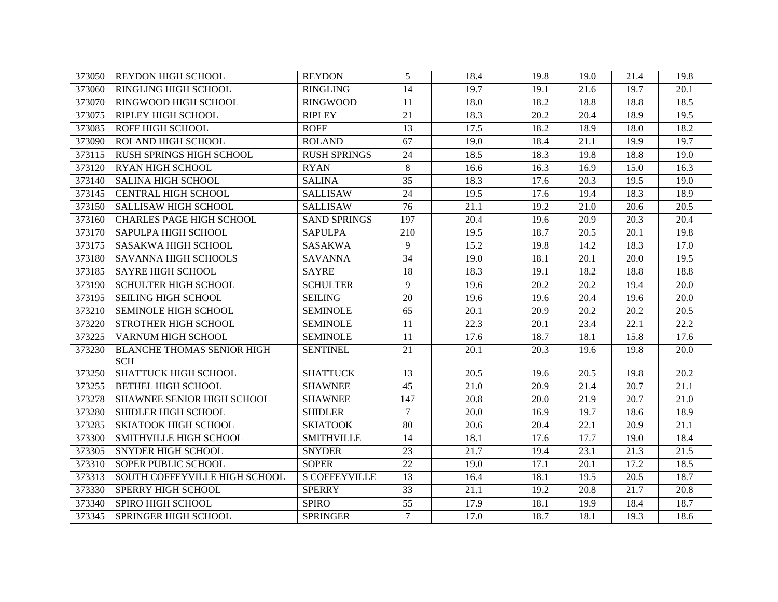| 373050 | <b>REYDON HIGH SCHOOL</b>         | <b>REYDON</b>        | 5               | 18.4              | 19.8 | 19.0 | 21.4              | 19.8              |
|--------|-----------------------------------|----------------------|-----------------|-------------------|------|------|-------------------|-------------------|
| 373060 | <b>RINGLING HIGH SCHOOL</b>       | <b>RINGLING</b>      | 14              | 19.7              | 19.1 | 21.6 | 19.7              | 20.1              |
| 373070 | RINGWOOD HIGH SCHOOL              | <b>RINGWOOD</b>      | 11              | 18.0              | 18.2 | 18.8 | 18.8              | 18.5              |
| 373075 | RIPLEY HIGH SCHOOL                | <b>RIPLEY</b>        | 21              | 18.3              | 20.2 | 20.4 | 18.9              | 19.5              |
| 373085 | ROFF HIGH SCHOOL                  | <b>ROFF</b>          | 13              | 17.5              | 18.2 | 18.9 | 18.0              | 18.2              |
| 373090 | ROLAND HIGH SCHOOL                | <b>ROLAND</b>        | 67              | 19.0              | 18.4 | 21.1 | 19.9              | 19.7              |
| 373115 | RUSH SPRINGS HIGH SCHOOL          | <b>RUSH SPRINGS</b>  | 24              | 18.5              | 18.3 | 19.8 | 18.8              | 19.0              |
| 373120 | RYAN HIGH SCHOOL                  | <b>RYAN</b>          | 8               | 16.6              | 16.3 | 16.9 | 15.0              | 16.3              |
| 373140 | <b>SALINA HIGH SCHOOL</b>         | <b>SALINA</b>        | 35              | 18.3              | 17.6 | 20.3 | 19.5              | 19.0              |
| 373145 | <b>CENTRAL HIGH SCHOOL</b>        | <b>SALLISAW</b>      | 24              | 19.5              | 17.6 | 19.4 | 18.3              | 18.9              |
| 373150 | <b>SALLISAW HIGH SCHOOL</b>       | <b>SALLISAW</b>      | 76              | $\overline{21.1}$ | 19.2 | 21.0 | $\overline{20.6}$ | $\overline{20.5}$ |
| 373160 | <b>CHARLES PAGE HIGH SCHOOL</b>   | <b>SAND SPRINGS</b>  | 197             | 20.4              | 19.6 | 20.9 | 20.3              | 20.4              |
| 373170 | SAPULPA HIGH SCHOOL               | <b>SAPULPA</b>       | 210             | 19.5              | 18.7 | 20.5 | 20.1              | 19.8              |
| 373175 | SASAKWA HIGH SCHOOL               | <b>SASAKWA</b>       | 9               | 15.2              | 19.8 | 14.2 | 18.3              | 17.0              |
| 373180 | <b>SAVANNA HIGH SCHOOLS</b>       | <b>SAVANNA</b>       | $\overline{34}$ | 19.0              | 18.1 | 20.1 | 20.0              | 19.5              |
| 373185 | <b>SAYRE HIGH SCHOOL</b>          | <b>SAYRE</b>         | 18              | 18.3              | 19.1 | 18.2 | 18.8              | 18.8              |
| 373190 | SCHULTER HIGH SCHOOL              | <b>SCHULTER</b>      | 9               | 19.6              | 20.2 | 20.2 | 19.4              | 20.0              |
| 373195 | SEILING HIGH SCHOOL               | <b>SEILING</b>       | 20              | 19.6              | 19.6 | 20.4 | 19.6              | 20.0              |
| 373210 | SEMINOLE HIGH SCHOOL              | <b>SEMINOLE</b>      | 65              | 20.1              | 20.9 | 20.2 | 20.2              | 20.5              |
| 373220 | STROTHER HIGH SCHOOL              | <b>SEMINOLE</b>      | 11              | 22.3              | 20.1 | 23.4 | 22.1              | 22.2              |
| 373225 | VARNUM HIGH SCHOOL                | <b>SEMINOLE</b>      | 11              | 17.6              | 18.7 | 18.1 | 15.8              | 17.6              |
| 373230 | <b>BLANCHE THOMAS SENIOR HIGH</b> | <b>SENTINEL</b>      | $\overline{21}$ | 20.1              | 20.3 | 19.6 | 19.8              | 20.0              |
|        | <b>SCH</b>                        |                      |                 |                   |      |      |                   |                   |
| 373250 | SHATTUCK HIGH SCHOOL              | <b>SHATTUCK</b>      | 13              | 20.5              | 19.6 | 20.5 | 19.8              | 20.2              |
| 373255 | <b>BETHEL HIGH SCHOOL</b>         | <b>SHAWNEE</b>       | 45              | 21.0              | 20.9 | 21.4 | 20.7              | 21.1              |
| 373278 | SHAWNEE SENIOR HIGH SCHOOL        | <b>SHAWNEE</b>       | 147             | $20.\overline{8}$ | 20.0 | 21.9 | 20.7              | 21.0              |
| 373280 | SHIDLER HIGH SCHOOL               | <b>SHIDLER</b>       | $\tau$          | 20.0              | 16.9 | 19.7 | 18.6              | 18.9              |
| 373285 | <b>SKIATOOK HIGH SCHOOL</b>       | <b>SKIATOOK</b>      | 80              | 20.6              | 20.4 | 22.1 | 20.9              | $\overline{21.1}$ |
| 373300 | SMITHVILLE HIGH SCHOOL            | <b>SMITHVILLE</b>    | 14              | 18.1              | 17.6 | 17.7 | 19.0              | 18.4              |
| 373305 | <b>SNYDER HIGH SCHOOL</b>         | <b>SNYDER</b>        | 23              | 21.7              | 19.4 | 23.1 | 21.3              | 21.5              |
| 373310 | SOPER PUBLIC SCHOOL               | <b>SOPER</b>         | 22              | 19.0              | 17.1 | 20.1 | 17.2              | 18.5              |
| 373313 | SOUTH COFFEYVILLE HIGH SCHOOL     | <b>S COFFEYVILLE</b> | 13              | 16.4              | 18.1 | 19.5 | 20.5              | 18.7              |
| 373330 | SPERRY HIGH SCHOOL                | <b>SPERRY</b>        | 33              | 21.1              | 19.2 | 20.8 | 21.7              | 20.8              |
| 373340 | SPIRO HIGH SCHOOL                 | <b>SPIRO</b>         | 55              | 17.9              | 18.1 | 19.9 | 18.4              | 18.7              |
| 373345 | SPRINGER HIGH SCHOOL              | <b>SPRINGER</b>      | $\tau$          | 17.0              | 18.7 | 18.1 | 19.3              | 18.6              |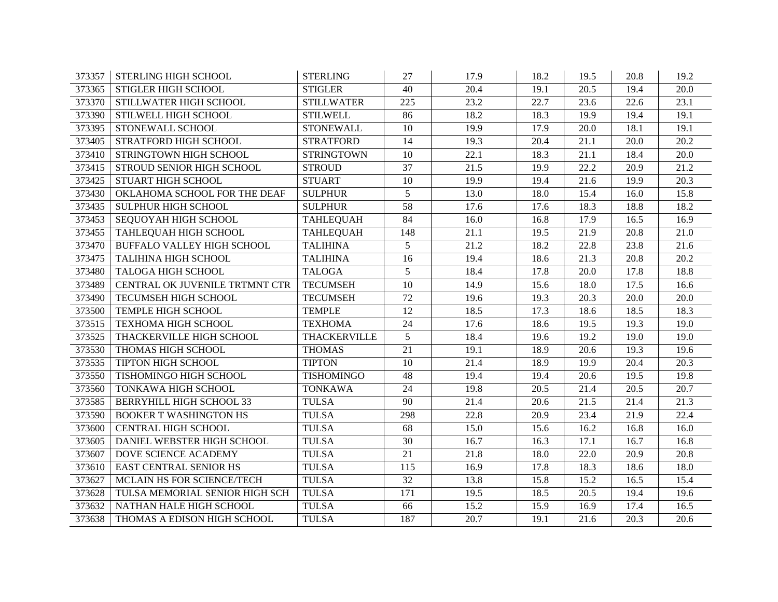| 373357 | STERLING HIGH SCHOOL              | <b>STERLING</b>   | 27              | 17.9 | 18.2 | 19.5 | 20.8              | 19.2 |
|--------|-----------------------------------|-------------------|-----------------|------|------|------|-------------------|------|
| 373365 | STIGLER HIGH SCHOOL               | <b>STIGLER</b>    | 40              | 20.4 | 19.1 | 20.5 | 19.4              | 20.0 |
| 373370 | STILLWATER HIGH SCHOOL            | <b>STILLWATER</b> | 225             | 23.2 | 22.7 | 23.6 | 22.6              | 23.1 |
| 373390 | STILWELL HIGH SCHOOL              | <b>STILWELL</b>   | 86              | 18.2 | 18.3 | 19.9 | 19.4              | 19.1 |
| 373395 | STONEWALL SCHOOL                  | <b>STONEWALL</b>  | 10              | 19.9 | 17.9 | 20.0 | 18.1              | 19.1 |
| 373405 | STRATFORD HIGH SCHOOL             | <b>STRATFORD</b>  | 14              | 19.3 | 20.4 | 21.1 | 20.0              | 20.2 |
| 373410 | STRINGTOWN HIGH SCHOOL            | <b>STRINGTOWN</b> | 10              | 22.1 | 18.3 | 21.1 | 18.4              | 20.0 |
| 373415 | STROUD SENIOR HIGH SCHOOL         | <b>STROUD</b>     | $\overline{37}$ | 21.5 | 19.9 | 22.2 | 20.9              | 21.2 |
| 373425 | <b>STUART HIGH SCHOOL</b>         | <b>STUART</b>     | 10              | 19.9 | 19.4 | 21.6 | 19.9              | 20.3 |
| 373430 | OKLAHOMA SCHOOL FOR THE DEAF      | <b>SULPHUR</b>    | 5               | 13.0 | 18.0 | 15.4 | 16.0              | 15.8 |
| 373435 | SULPHUR HIGH SCHOOL               | <b>SULPHUR</b>    | $\overline{58}$ | 17.6 | 17.6 | 18.3 | 18.8              | 18.2 |
| 373453 | SEQUOYAH HIGH SCHOOL              | <b>TAHLEQUAH</b>  | 84              | 16.0 | 16.8 | 17.9 | 16.5              | 16.9 |
| 373455 | TAHLEQUAH HIGH SCHOOL             | <b>TAHLEQUAH</b>  | 148             | 21.1 | 19.5 | 21.9 | 20.8              | 21.0 |
| 373470 | <b>BUFFALO VALLEY HIGH SCHOOL</b> | <b>TALIHINA</b>   | 5               | 21.2 | 18.2 | 22.8 | 23.8              | 21.6 |
| 373475 | TALIHINA HIGH SCHOOL              | <b>TALIHINA</b>   | 16              | 19.4 | 18.6 | 21.3 | $\overline{20.8}$ | 20.2 |
| 373480 | <b>TALOGA HIGH SCHOOL</b>         | <b>TALOGA</b>     | 5               | 18.4 | 17.8 | 20.0 | 17.8              | 18.8 |
| 373489 | CENTRAL OK JUVENILE TRTMNT CTR    | <b>TECUMSEH</b>   | 10              | 14.9 | 15.6 | 18.0 | 17.5              | 16.6 |
| 373490 | TECUMSEH HIGH SCHOOL              | <b>TECUMSEH</b>   | 72              | 19.6 | 19.3 | 20.3 | 20.0              | 20.0 |
| 373500 | TEMPLE HIGH SCHOOL                | <b>TEMPLE</b>     | 12              | 18.5 | 17.3 | 18.6 | 18.5              | 18.3 |
| 373515 | <b>TEXHOMA HIGH SCHOOL</b>        | <b>TEXHOMA</b>    | 24              | 17.6 | 18.6 | 19.5 | 19.3              | 19.0 |
| 373525 | THACKERVILLE HIGH SCHOOL          | THACKERVILLE      | 5               | 18.4 | 19.6 | 19.2 | 19.0              | 19.0 |
| 373530 | THOMAS HIGH SCHOOL                | <b>THOMAS</b>     | $\overline{21}$ | 19.1 | 18.9 | 20.6 | 19.3              | 19.6 |
| 373535 | TIPTON HIGH SCHOOL                | <b>TIPTON</b>     | 10              | 21.4 | 18.9 | 19.9 | 20.4              | 20.3 |
| 373550 | TISHOMINGO HIGH SCHOOL            | <b>TISHOMINGO</b> | 48              | 19.4 | 19.4 | 20.6 | 19.5              | 19.8 |
| 373560 | TONKAWA HIGH SCHOOL               | <b>TONKAWA</b>    | $\overline{24}$ | 19.8 | 20.5 | 21.4 | 20.5              | 20.7 |
| 373585 | <b>BERRYHILL HIGH SCHOOL 33</b>   | <b>TULSA</b>      | 90              | 21.4 | 20.6 | 21.5 | 21.4              | 21.3 |
| 373590 | <b>BOOKER T WASHINGTON HS</b>     | <b>TULSA</b>      | 298             | 22.8 | 20.9 | 23.4 | 21.9              | 22.4 |
| 373600 | <b>CENTRAL HIGH SCHOOL</b>        | <b>TULSA</b>      | 68              | 15.0 | 15.6 | 16.2 | 16.8              | 16.0 |
| 373605 | DANIEL WEBSTER HIGH SCHOOL        | <b>TULSA</b>      | 30              | 16.7 | 16.3 | 17.1 | 16.7              | 16.8 |
| 373607 | DOVE SCIENCE ACADEMY              | <b>TULSA</b>      | 21              | 21.8 | 18.0 | 22.0 | 20.9              | 20.8 |
| 373610 | <b>EAST CENTRAL SENIOR HS</b>     | <b>TULSA</b>      | 115             | 16.9 | 17.8 | 18.3 | 18.6              | 18.0 |
| 373627 | MCLAIN HS FOR SCIENCE/TECH        | <b>TULSA</b>      | 32              | 13.8 | 15.8 | 15.2 | 16.5              | 15.4 |
| 373628 | TULSA MEMORIAL SENIOR HIGH SCH    | <b>TULSA</b>      | 171             | 19.5 | 18.5 | 20.5 | 19.4              | 19.6 |
| 373632 | NATHAN HALE HIGH SCHOOL           | <b>TULSA</b>      | 66              | 15.2 | 15.9 | 16.9 | 17.4              | 16.5 |
| 373638 | THOMAS A EDISON HIGH SCHOOL       | <b>TULSA</b>      | 187             | 20.7 | 19.1 | 21.6 | 20.3              | 20.6 |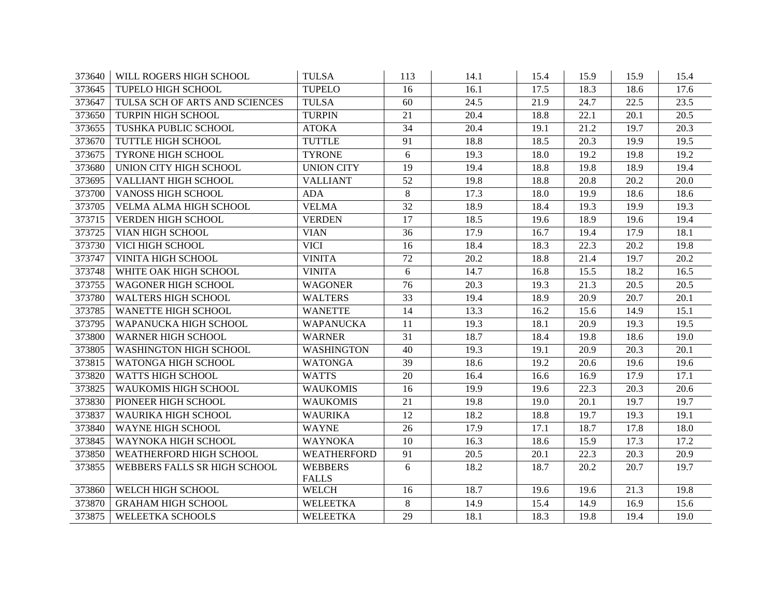| 373640 | WILL ROGERS HIGH SCHOOL        | <b>TULSA</b>                   | 113             | 14.1 | 15.4 | 15.9 | 15.9              | 15.4 |
|--------|--------------------------------|--------------------------------|-----------------|------|------|------|-------------------|------|
| 373645 | <b>TUPELO HIGH SCHOOL</b>      | <b>TUPELO</b>                  | 16              | 16.1 | 17.5 | 18.3 | 18.6              | 17.6 |
| 373647 | TULSA SCH OF ARTS AND SCIENCES | <b>TULSA</b>                   | 60              | 24.5 | 21.9 | 24.7 | 22.5              | 23.5 |
| 373650 | TURPIN HIGH SCHOOL             | <b>TURPIN</b>                  | 21              | 20.4 | 18.8 | 22.1 | 20.1              | 20.5 |
| 373655 | TUSHKA PUBLIC SCHOOL           | <b>ATOKA</b>                   | 34              | 20.4 | 19.1 | 21.2 | 19.7              | 20.3 |
| 373670 | TUTTLE HIGH SCHOOL             | <b>TUTTLE</b>                  | 91              | 18.8 | 18.5 | 20.3 | 19.9              | 19.5 |
| 373675 | <b>TYRONE HIGH SCHOOL</b>      | <b>TYRONE</b>                  | 6               | 19.3 | 18.0 | 19.2 | 19.8              | 19.2 |
| 373680 | UNION CITY HIGH SCHOOL         | <b>UNION CITY</b>              | 19              | 19.4 | 18.8 | 19.8 | 18.9              | 19.4 |
| 373695 | <b>VALLIANT HIGH SCHOOL</b>    | <b>VALLIANT</b>                | 52              | 19.8 | 18.8 | 20.8 | 20.2              | 20.0 |
| 373700 | <b>VANOSS HIGH SCHOOL</b>      | <b>ADA</b>                     | 8               | 17.3 | 18.0 | 19.9 | 18.6              | 18.6 |
| 373705 | VELMA ALMA HIGH SCHOOL         | <b>VELMA</b>                   | $\overline{32}$ | 18.9 | 18.4 | 19.3 | 19.9              | 19.3 |
| 373715 | VERDEN HIGH SCHOOL             | <b>VERDEN</b>                  | 17              | 18.5 | 19.6 | 18.9 | 19.6              | 19.4 |
| 373725 | VIAN HIGH SCHOOL               | <b>VIAN</b>                    | 36              | 17.9 | 16.7 | 19.4 | 17.9              | 18.1 |
| 373730 | VICI HIGH SCHOOL               | <b>VICI</b>                    | 16              | 18.4 | 18.3 | 22.3 | $\overline{20.2}$ | 19.8 |
| 373747 | VINITA HIGH SCHOOL             | <b>VINITA</b>                  | 72              | 20.2 | 18.8 | 21.4 | 19.7              | 20.2 |
| 373748 | WHITE OAK HIGH SCHOOL          | <b>VINITA</b>                  | 6               | 14.7 | 16.8 | 15.5 | 18.2              | 16.5 |
| 373755 | <b>WAGONER HIGH SCHOOL</b>     | <b>WAGONER</b>                 | 76              | 20.3 | 19.3 | 21.3 | 20.5              | 20.5 |
| 373780 | WALTERS HIGH SCHOOL            | <b>WALTERS</b>                 | 33              | 19.4 | 18.9 | 20.9 | 20.7              | 20.1 |
| 373785 | WANETTE HIGH SCHOOL            | <b>WANETTE</b>                 | 14              | 13.3 | 16.2 | 15.6 | 14.9              | 15.1 |
| 373795 | WAPANUCKA HIGH SCHOOL          | <b>WAPANUCKA</b>               | 11              | 19.3 | 18.1 | 20.9 | 19.3              | 19.5 |
| 373800 | <b>WARNER HIGH SCHOOL</b>      | <b>WARNER</b>                  | 31              | 18.7 | 18.4 | 19.8 | 18.6              | 19.0 |
| 373805 | WASHINGTON HIGH SCHOOL         | <b>WASHINGTON</b>              | 40              | 19.3 | 19.1 | 20.9 | 20.3              | 20.1 |
| 373815 | WATONGA HIGH SCHOOL            | <b>WATONGA</b>                 | 39              | 18.6 | 19.2 | 20.6 | 19.6              | 19.6 |
| 373820 | WATTS HIGH SCHOOL              | <b>WATTS</b>                   | 20              | 16.4 | 16.6 | 16.9 | 17.9              | 17.1 |
| 373825 | <b>WAUKOMIS HIGH SCHOOL</b>    | <b>WAUKOMIS</b>                | 16              | 19.9 | 19.6 | 22.3 | $\overline{20.3}$ | 20.6 |
| 373830 | PIONEER HIGH SCHOOL            | <b>WAUKOMIS</b>                | $\overline{21}$ | 19.8 | 19.0 | 20.1 | 19.7              | 19.7 |
| 373837 | WAURIKA HIGH SCHOOL            | <b>WAURIKA</b>                 | 12              | 18.2 | 18.8 | 19.7 | 19.3              | 19.1 |
| 373840 | WAYNE HIGH SCHOOL              | <b>WAYNE</b>                   | 26              | 17.9 | 17.1 | 18.7 | 17.8              | 18.0 |
| 373845 | WAYNOKA HIGH SCHOOL            | <b>WAYNOKA</b>                 | 10              | 16.3 | 18.6 | 15.9 | 17.3              | 17.2 |
| 373850 | WEATHERFORD HIGH SCHOOL        | <b>WEATHERFORD</b>             | 91              | 20.5 | 20.1 | 22.3 | 20.3              | 20.9 |
| 373855 | WEBBERS FALLS SR HIGH SCHOOL   | <b>WEBBERS</b><br><b>FALLS</b> | 6               | 18.2 | 18.7 | 20.2 | 20.7              | 19.7 |
| 373860 | WELCH HIGH SCHOOL              | <b>WELCH</b>                   | 16              | 18.7 | 19.6 | 19.6 | 21.3              | 19.8 |
| 373870 | <b>GRAHAM HIGH SCHOOL</b>      | WELEETKA                       | 8               | 14.9 | 15.4 | 14.9 | 16.9              | 15.6 |
| 373875 | <b>WELEETKA SCHOOLS</b>        | <b>WELEETKA</b>                | 29              | 18.1 | 18.3 | 19.8 | 19.4              | 19.0 |